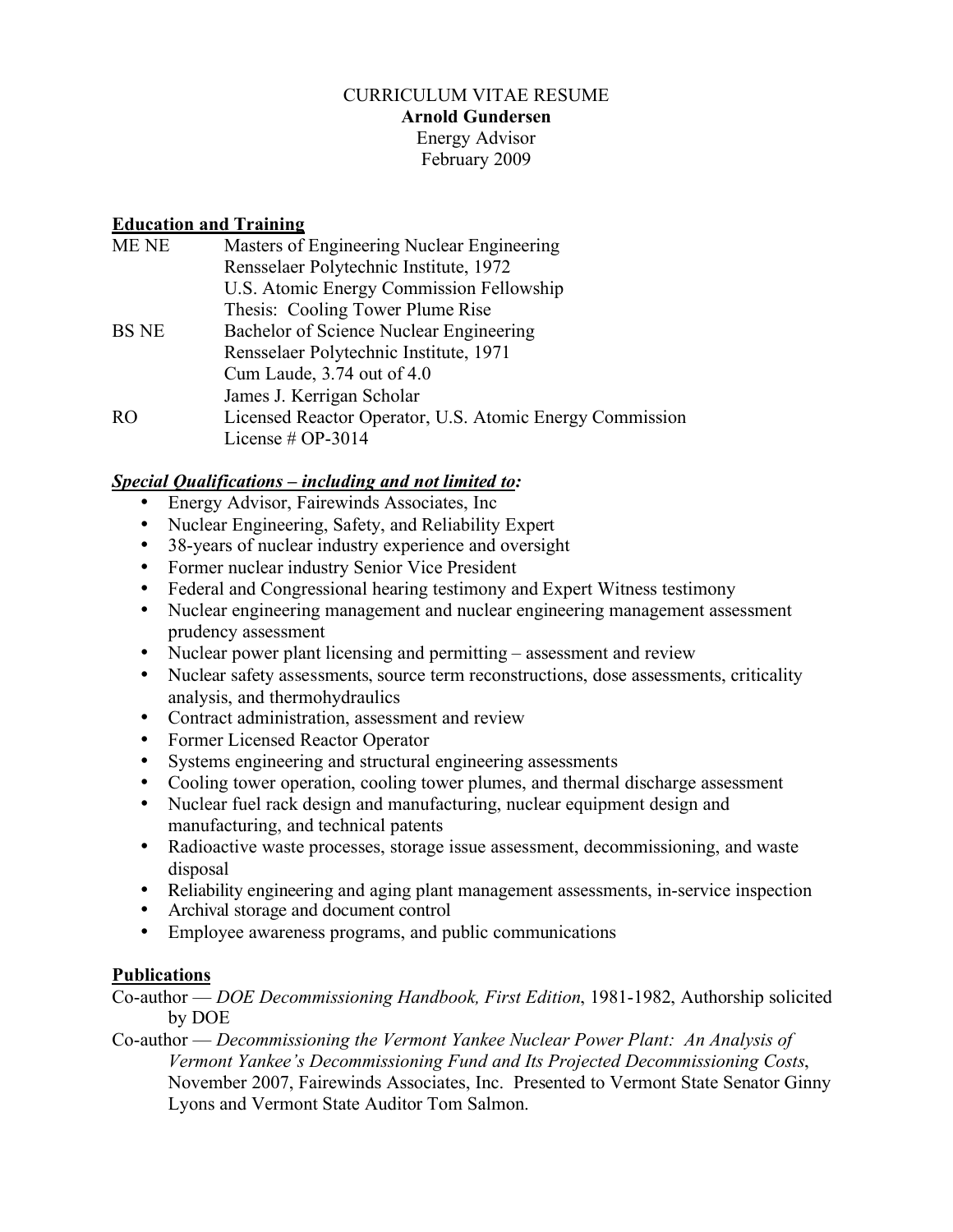## CURRICULUM VITAE RESUME **Arnold Gundersen** Energy Advisor February 2009

# **Education and Training**

| Masters of Engineering Nuclear Engineering                                                                          |                                                                                 |
|---------------------------------------------------------------------------------------------------------------------|---------------------------------------------------------------------------------|
| Rensselaer Polytechnic Institute, 1972                                                                              |                                                                                 |
| U.S. Atomic Energy Commission Fellowship                                                                            |                                                                                 |
| Thesis: Cooling Tower Plume Rise                                                                                    |                                                                                 |
| Bachelor of Science Nuclear Engineering<br>Rensselaer Polytechnic Institute, 1971<br>Cum Laude, $3.74$ out of $4.0$ |                                                                                 |
|                                                                                                                     | James J. Kerrigan Scholar                                                       |
|                                                                                                                     | Licensed Reactor Operator, U.S. Atomic Energy Commission<br>License $# OP-3014$ |
|                                                                                                                     |                                                                                 |

# *Special Qualifications – including and not limited to:*

- Energy Advisor, Fairewinds Associates, Inc
- Nuclear Engineering, Safety, and Reliability Expert
- 38-years of nuclear industry experience and oversight
- Former nuclear industry Senior Vice President
- Federal and Congressional hearing testimony and Expert Witness testimony
- Nuclear engineering management and nuclear engineering management assessment prudency assessment
- Nuclear power plant licensing and permitting assessment and review
- Nuclear safety assessments, source term reconstructions, dose assessments, criticality analysis, and thermohydraulics
- Contract administration, assessment and review
- Former Licensed Reactor Operator
- Systems engineering and structural engineering assessments
- Cooling tower operation, cooling tower plumes, and thermal discharge assessment
- Nuclear fuel rack design and manufacturing, nuclear equipment design and manufacturing, and technical patents
- Radioactive waste processes, storage issue assessment, decommissioning, and waste disposal
- Reliability engineering and aging plant management assessments, in-service inspection
- Archival storage and document control
- Employee awareness programs, and public communications

## **Publications**

Co-author — *DOE Decommissioning Handbook, First Edition*, 1981-1982, Authorship solicited by DOE

Co-author — *Decommissioning the Vermont Yankee Nuclear Power Plant: An Analysis of Vermont Yankee's Decommissioning Fund and Its Projected Decommissioning Costs*, November 2007, Fairewinds Associates, Inc. Presented to Vermont State Senator Ginny Lyons and Vermont State Auditor Tom Salmon.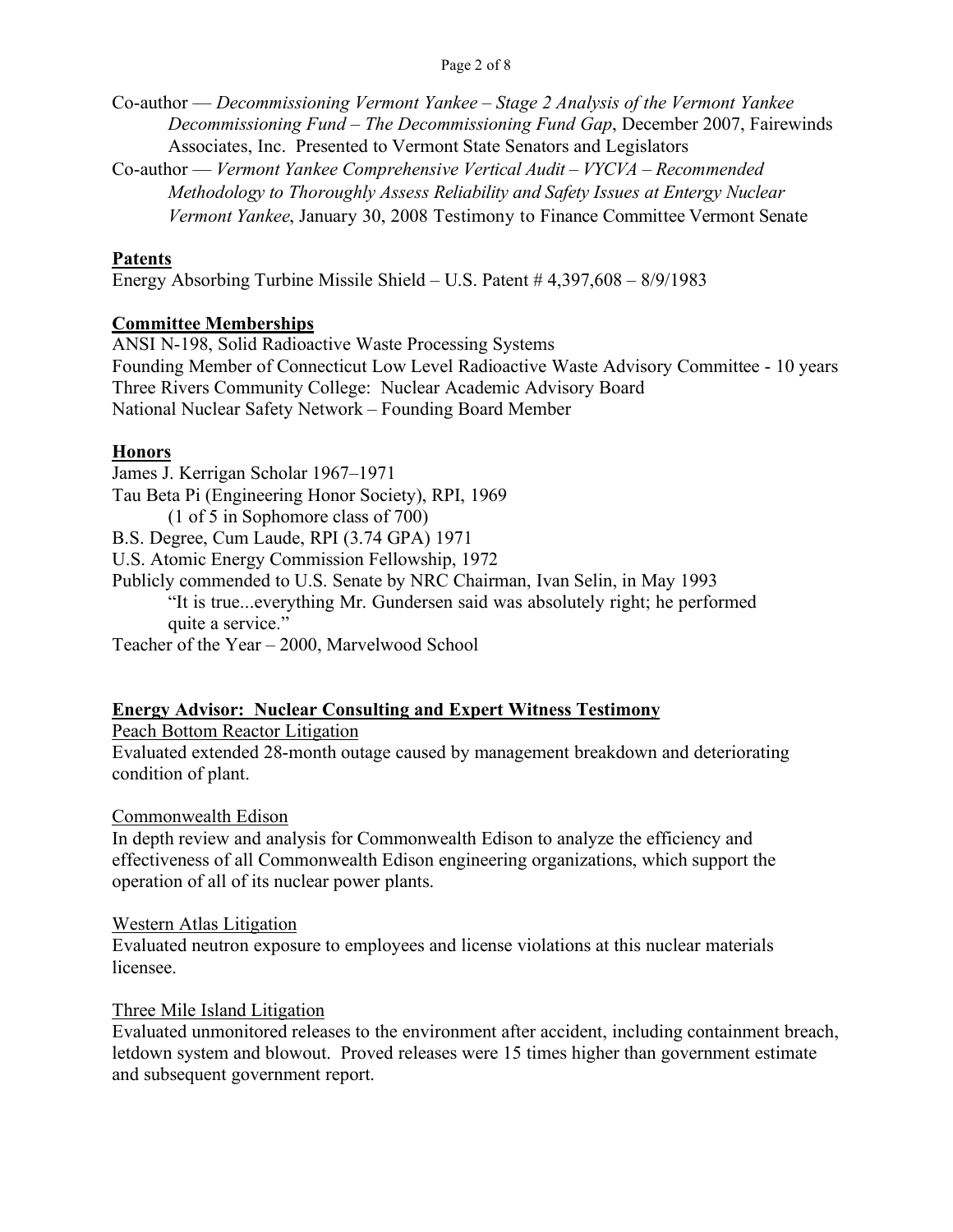Co-author — *Decommissioning Vermont Yankee – Stage 2 Analysis of the Vermont Yankee Decommissioning Fund – The Decommissioning Fund Gap*, December 2007, Fairewinds Associates, Inc. Presented to Vermont State Senators and Legislators

Co-author — *Vermont Yankee Comprehensive Vertical Audit – VYCVA – Recommended Methodology to Thoroughly Assess Reliability and Safety Issues at Entergy Nuclear Vermont Yankee*, January 30, 2008 Testimony to Finance Committee Vermont Senate

## **Patents**

Energy Absorbing Turbine Missile Shield – U.S. Patent # 4,397,608 – 8/9/1983

# **Committee Memberships**

ANSI N-198, Solid Radioactive Waste Processing Systems Founding Member of Connecticut Low Level Radioactive Waste Advisory Committee - 10 years Three Rivers Community College: Nuclear Academic Advisory Board National Nuclear Safety Network – Founding Board Member

# **Honors**

James J. Kerrigan Scholar 1967–1971 Tau Beta Pi (Engineering Honor Society), RPI, 1969 (1 of 5 in Sophomore class of 700) B.S. Degree, Cum Laude, RPI (3.74 GPA) 1971 U.S. Atomic Energy Commission Fellowship, 1972 Publicly commended to U.S. Senate by NRC Chairman, Ivan Selin, in May 1993 "It is true...everything Mr. Gundersen said was absolutely right; he performed quite a service."

Teacher of the Year – 2000, Marvelwood School

# **Energy Advisor: Nuclear Consulting and Expert Witness Testimony**

Peach Bottom Reactor Litigation

Evaluated extended 28-month outage caused by management breakdown and deteriorating condition of plant.

## Commonwealth Edison

In depth review and analysis for Commonwealth Edison to analyze the efficiency and effectiveness of all Commonwealth Edison engineering organizations, which support the operation of all of its nuclear power plants.

## Western Atlas Litigation

Evaluated neutron exposure to employees and license violations at this nuclear materials licensee.

## Three Mile Island Litigation

Evaluated unmonitored releases to the environment after accident, including containment breach, letdown system and blowout. Proved releases were 15 times higher than government estimate and subsequent government report.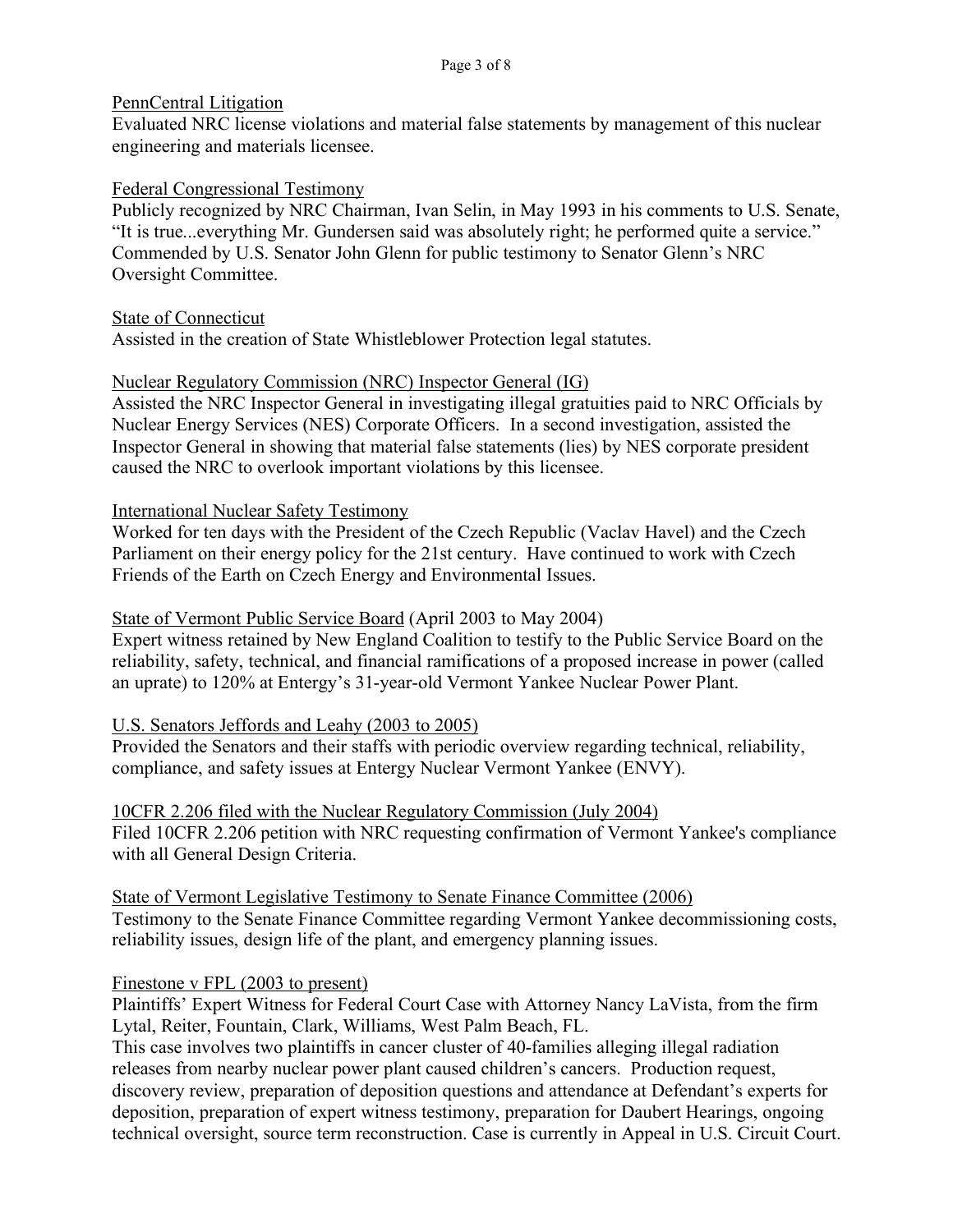#### PennCentral Litigation

Evaluated NRC license violations and material false statements by management of this nuclear engineering and materials licensee.

#### Federal Congressional Testimony

Publicly recognized by NRC Chairman, Ivan Selin, in May 1993 in his comments to U.S. Senate, "It is true...everything Mr. Gundersen said was absolutely right; he performed quite a service." Commended by U.S. Senator John Glenn for public testimony to Senator Glenn's NRC Oversight Committee.

State of Connecticut

Assisted in the creation of State Whistleblower Protection legal statutes.

# Nuclear Regulatory Commission (NRC) Inspector General (IG)

Assisted the NRC Inspector General in investigating illegal gratuities paid to NRC Officials by Nuclear Energy Services (NES) Corporate Officers. In a second investigation, assisted the Inspector General in showing that material false statements (lies) by NES corporate president caused the NRC to overlook important violations by this licensee.

## International Nuclear Safety Testimony

Worked for ten days with the President of the Czech Republic (Vaclav Havel) and the Czech Parliament on their energy policy for the 21st century. Have continued to work with Czech Friends of the Earth on Czech Energy and Environmental Issues.

## State of Vermont Public Service Board (April 2003 to May 2004)

Expert witness retained by New England Coalition to testify to the Public Service Board on the reliability, safety, technical, and financial ramifications of a proposed increase in power (called an uprate) to 120% at Entergy's 31-year-old Vermont Yankee Nuclear Power Plant.

## U.S. Senators Jeffords and Leahy (2003 to 2005)

Provided the Senators and their staffs with periodic overview regarding technical, reliability, compliance, and safety issues at Entergy Nuclear Vermont Yankee (ENVY).

10CFR 2.206 filed with the Nuclear Regulatory Commission (July 2004) Filed 10CFR 2.206 petition with NRC requesting confirmation of Vermont Yankee's compliance with all General Design Criteria.

State of Vermont Legislative Testimony to Senate Finance Committee (2006) Testimony to the Senate Finance Committee regarding Vermont Yankee decommissioning costs, reliability issues, design life of the plant, and emergency planning issues.

## Finestone v FPL (2003 to present)

Plaintiffs' Expert Witness for Federal Court Case with Attorney Nancy LaVista, from the firm Lytal, Reiter, Fountain, Clark, Williams, West Palm Beach, FL.

This case involves two plaintiffs in cancer cluster of 40-families alleging illegal radiation releases from nearby nuclear power plant caused children's cancers. Production request, discovery review, preparation of deposition questions and attendance at Defendant's experts for deposition, preparation of expert witness testimony, preparation for Daubert Hearings, ongoing technical oversight, source term reconstruction. Case is currently in Appeal in U.S. Circuit Court.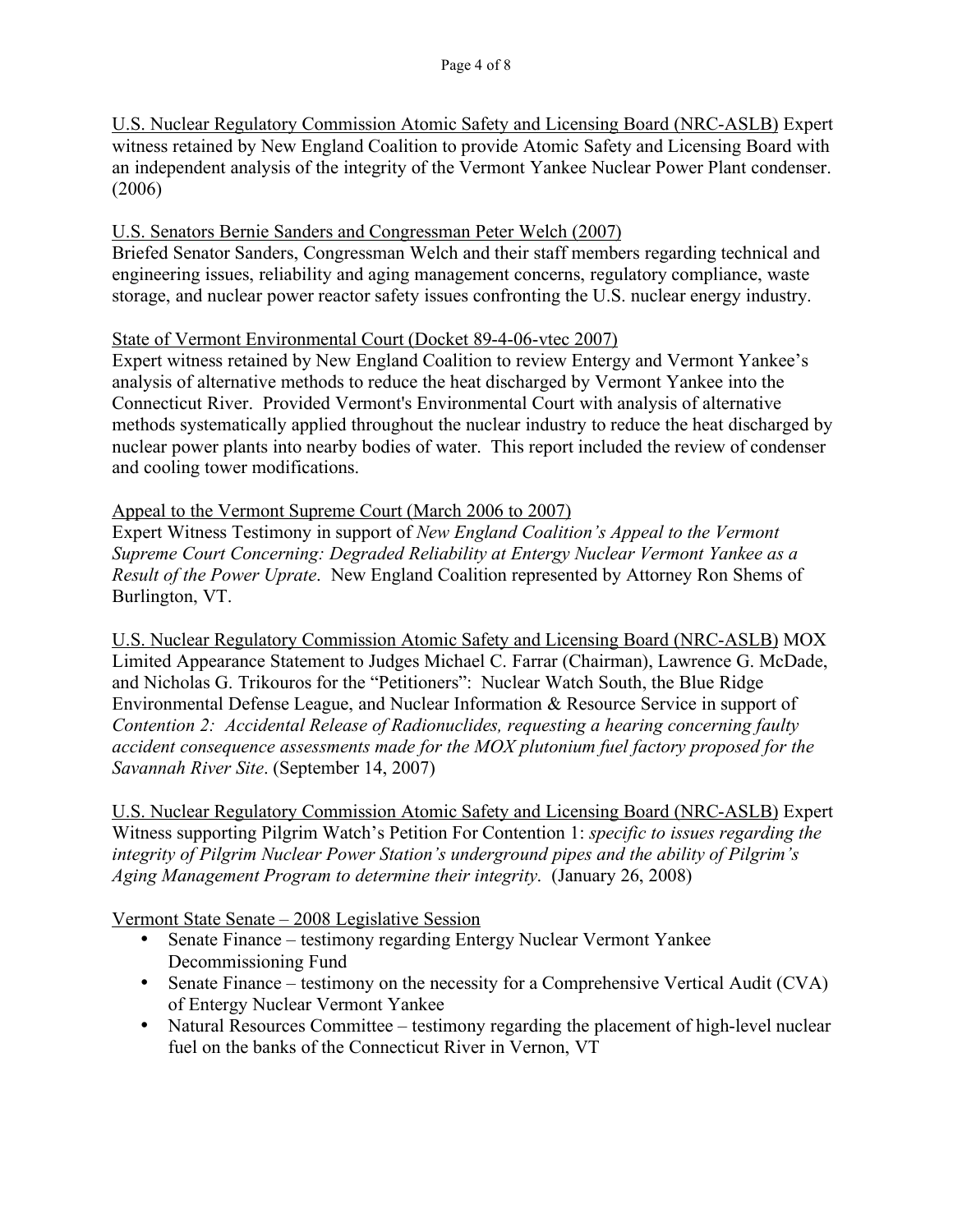U.S. Nuclear Regulatory Commission Atomic Safety and Licensing Board (NRC-ASLB) Expert witness retained by New England Coalition to provide Atomic Safety and Licensing Board with an independent analysis of the integrity of the Vermont Yankee Nuclear Power Plant condenser. (2006)

#### U.S. Senators Bernie Sanders and Congressman Peter Welch (2007)

Briefed Senator Sanders, Congressman Welch and their staff members regarding technical and engineering issues, reliability and aging management concerns, regulatory compliance, waste storage, and nuclear power reactor safety issues confronting the U.S. nuclear energy industry.

#### State of Vermont Environmental Court (Docket 89-4-06-vtec 2007)

Expert witness retained by New England Coalition to review Entergy and Vermont Yankee's analysis of alternative methods to reduce the heat discharged by Vermont Yankee into the Connecticut River. Provided Vermont's Environmental Court with analysis of alternative methods systematically applied throughout the nuclear industry to reduce the heat discharged by nuclear power plants into nearby bodies of water. This report included the review of condenser and cooling tower modifications.

#### Appeal to the Vermont Supreme Court (March 2006 to 2007)

Expert Witness Testimony in support of *New England Coalition's Appeal to the Vermont Supreme Court Concerning: Degraded Reliability at Entergy Nuclear Vermont Yankee as a Result of the Power Uprate*. New England Coalition represented by Attorney Ron Shems of Burlington, VT.

U.S. Nuclear Regulatory Commission Atomic Safety and Licensing Board (NRC-ASLB) MOX Limited Appearance Statement to Judges Michael C. Farrar (Chairman), Lawrence G. McDade, and Nicholas G. Trikouros for the "Petitioners": Nuclear Watch South, the Blue Ridge Environmental Defense League, and Nuclear Information & Resource Service in support of *Contention 2: Accidental Release of Radionuclides, requesting a hearing concerning faulty accident consequence assessments made for the MOX plutonium fuel factory proposed for the Savannah River Site*. (September 14, 2007)

U.S. Nuclear Regulatory Commission Atomic Safety and Licensing Board (NRC-ASLB) Expert Witness supporting Pilgrim Watch's Petition For Contention 1: *specific to issues regarding the integrity of Pilgrim Nuclear Power Station's underground pipes and the ability of Pilgrim's Aging Management Program to determine their integrity*. (January 26, 2008)

Vermont State Senate – 2008 Legislative Session

- Senate Finance testimony regarding Entergy Nuclear Vermont Yankee Decommissioning Fund
- Senate Finance testimony on the necessity for a Comprehensive Vertical Audit (CVA) of Entergy Nuclear Vermont Yankee
- Natural Resources Committee testimony regarding the placement of high-level nuclear fuel on the banks of the Connecticut River in Vernon, VT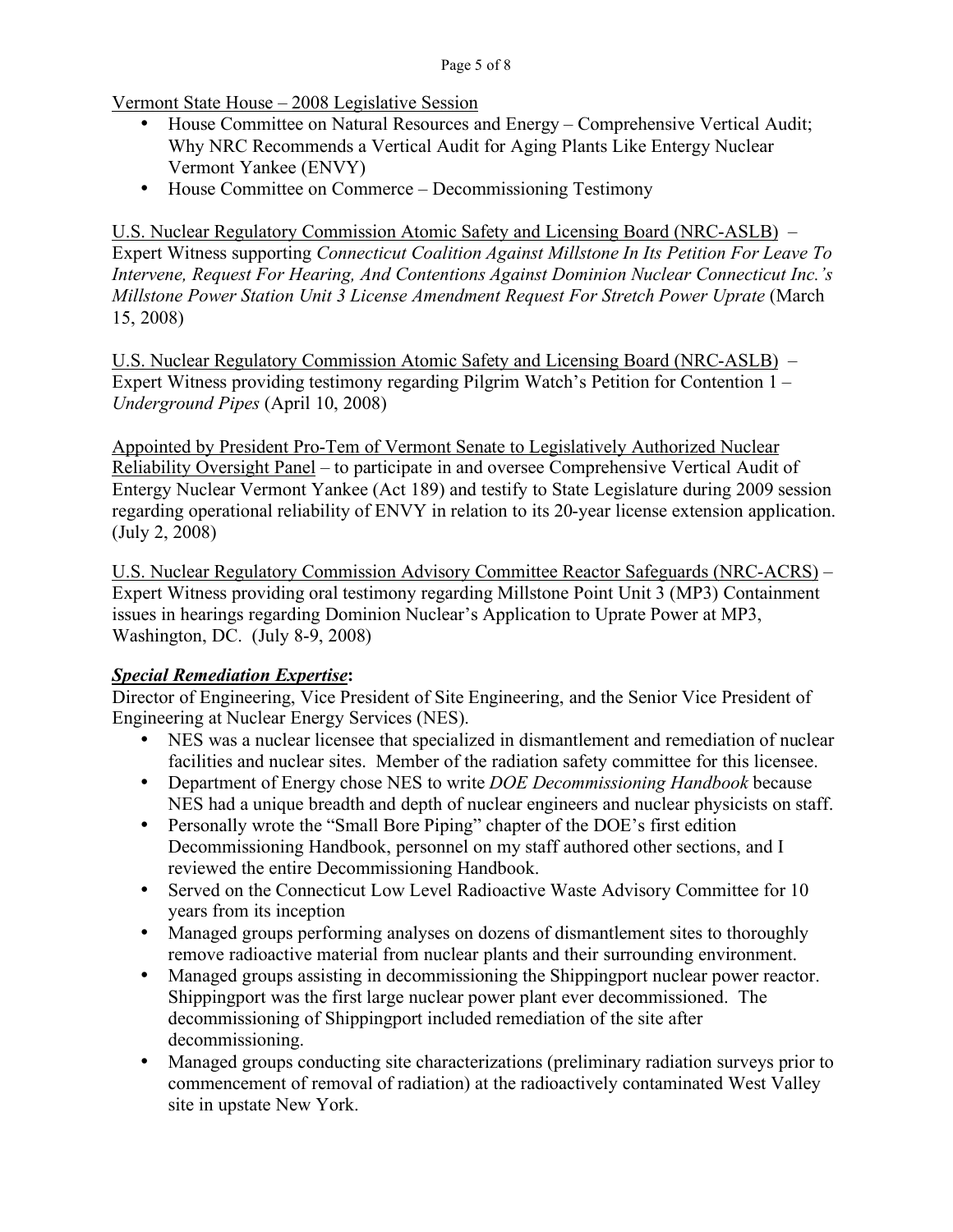Vermont State House – 2008 Legislative Session

- House Committee on Natural Resources and Energy Comprehensive Vertical Audit; Why NRC Recommends a Vertical Audit for Aging Plants Like Entergy Nuclear Vermont Yankee (ENVY)
- House Committee on Commerce Decommissioning Testimony

U.S. Nuclear Regulatory Commission Atomic Safety and Licensing Board (NRC-ASLB) – Expert Witness supporting *Connecticut Coalition Against Millstone In Its Petition For Leave To Intervene, Request For Hearing, And Contentions Against Dominion Nuclear Connecticut Inc.'s Millstone Power Station Unit 3 License Amendment Request For Stretch Power Uprate* (March 15, 2008)

U.S. Nuclear Regulatory Commission Atomic Safety and Licensing Board (NRC-ASLB) – Expert Witness providing testimony regarding Pilgrim Watch's Petition for Contention 1 – *Underground Pipes* (April 10, 2008)

Appointed by President Pro-Tem of Vermont Senate to Legislatively Authorized Nuclear Reliability Oversight Panel – to participate in and oversee Comprehensive Vertical Audit of Entergy Nuclear Vermont Yankee (Act 189) and testify to State Legislature during 2009 session regarding operational reliability of ENVY in relation to its 20-year license extension application. (July 2, 2008)

U.S. Nuclear Regulatory Commission Advisory Committee Reactor Safeguards (NRC-ACRS) – Expert Witness providing oral testimony regarding Millstone Point Unit 3 (MP3) Containment issues in hearings regarding Dominion Nuclear's Application to Uprate Power at MP3, Washington, DC. (July 8-9, 2008)

## *Special Remediation Expertise***:**

Director of Engineering, Vice President of Site Engineering, and the Senior Vice President of Engineering at Nuclear Energy Services (NES).

- NES was a nuclear licensee that specialized in dismantlement and remediation of nuclear facilities and nuclear sites. Member of the radiation safety committee for this licensee.
- Department of Energy chose NES to write *DOE Decommissioning Handbook* because NES had a unique breadth and depth of nuclear engineers and nuclear physicists on staff.
- Personally wrote the "Small Bore Piping" chapter of the DOE's first edition Decommissioning Handbook, personnel on my staff authored other sections, and I reviewed the entire Decommissioning Handbook.
- Served on the Connecticut Low Level Radioactive Waste Advisory Committee for 10 years from its inception
- Managed groups performing analyses on dozens of dismantlement sites to thoroughly remove radioactive material from nuclear plants and their surrounding environment.
- Managed groups assisting in decommissioning the Shippingport nuclear power reactor. Shippingport was the first large nuclear power plant ever decommissioned. The decommissioning of Shippingport included remediation of the site after decommissioning.
- Managed groups conducting site characterizations (preliminary radiation surveys prior to commencement of removal of radiation) at the radioactively contaminated West Valley site in upstate New York.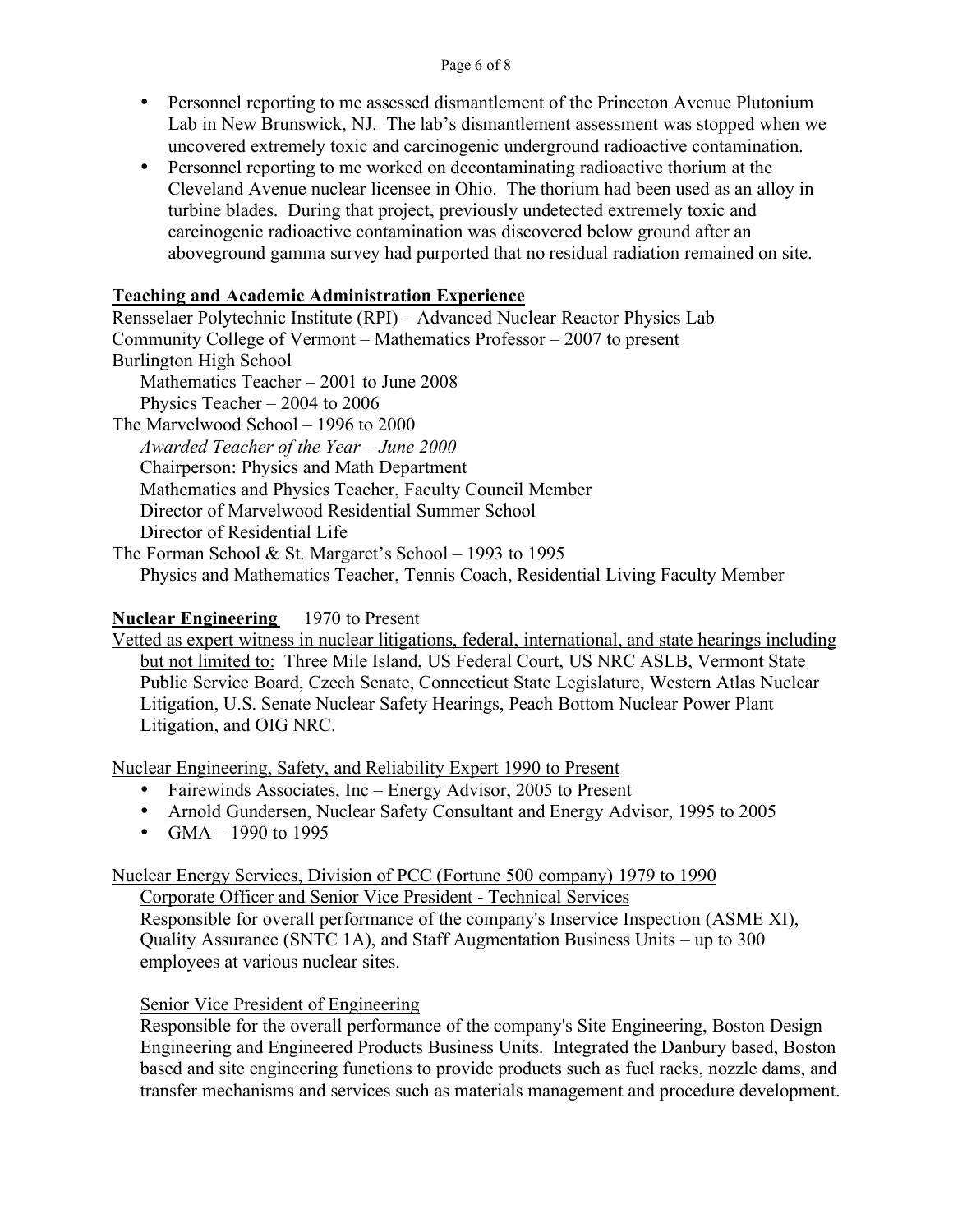- Personnel reporting to me assessed dismantlement of the Princeton Avenue Plutonium Lab in New Brunswick, NJ. The lab's dismantlement assessment was stopped when we uncovered extremely toxic and carcinogenic underground radioactive contamination.
- Personnel reporting to me worked on decontaminating radioactive thorium at the Cleveland Avenue nuclear licensee in Ohio. The thorium had been used as an alloy in turbine blades. During that project, previously undetected extremely toxic and carcinogenic radioactive contamination was discovered below ground after an aboveground gamma survey had purported that no residual radiation remained on site.

## **Teaching and Academic Administration Experience**

Rensselaer Polytechnic Institute (RPI) – Advanced Nuclear Reactor Physics Lab Community College of Vermont – Mathematics Professor – 2007 to present Burlington High School Mathematics Teacher – 2001 to June 2008

Physics Teacher – 2004 to 2006

The Marvelwood School – 1996 to 2000 *Awarded Teacher of the Year – June 2000* Chairperson: Physics and Math Department Mathematics and Physics Teacher, Faculty Council Member Director of Marvelwood Residential Summer School Director of Residential Life

The Forman School & St. Margaret's School – 1993 to 1995 Physics and Mathematics Teacher, Tennis Coach, Residential Living Faculty Member

## **Nuclear Engineering** 1970 to Present

Vetted as expert witness in nuclear litigations, federal, international, and state hearings including but not limited to: Three Mile Island, US Federal Court, US NRC ASLB, Vermont State Public Service Board, Czech Senate, Connecticut State Legislature, Western Atlas Nuclear Litigation, U.S. Senate Nuclear Safety Hearings, Peach Bottom Nuclear Power Plant Litigation, and OIG NRC.

Nuclear Engineering, Safety, and Reliability Expert 1990 to Present

- Fairewinds Associates, Inc Energy Advisor, 2005 to Present
- Arnold Gundersen, Nuclear Safety Consultant and Energy Advisor, 1995 to 2005
- $GMA 1990$  to 1995

# Nuclear Energy Services, Division of PCC (Fortune 500 company) 1979 to 1990

Corporate Officer and Senior Vice President - Technical Services Responsible for overall performance of the company's Inservice Inspection (ASME XI), Quality Assurance (SNTC 1A), and Staff Augmentation Business Units – up to 300 employees at various nuclear sites.

## Senior Vice President of Engineering

Responsible for the overall performance of the company's Site Engineering, Boston Design Engineering and Engineered Products Business Units. Integrated the Danbury based, Boston based and site engineering functions to provide products such as fuel racks, nozzle dams, and transfer mechanisms and services such as materials management and procedure development.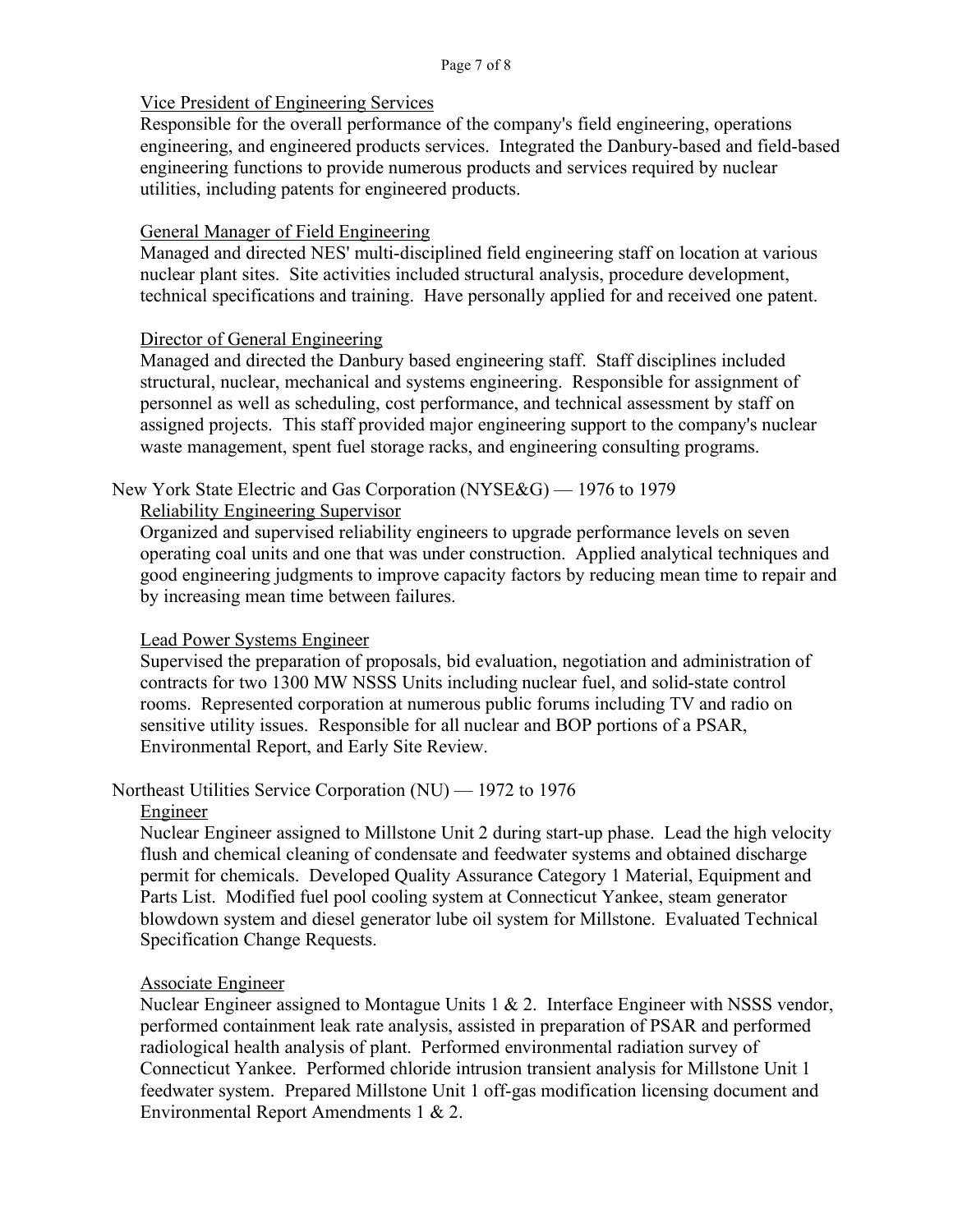# Vice President of Engineering Services

Responsible for the overall performance of the company's field engineering, operations engineering, and engineered products services. Integrated the Danbury-based and field-based engineering functions to provide numerous products and services required by nuclear utilities, including patents for engineered products.

# General Manager of Field Engineering

Managed and directed NES' multi-disciplined field engineering staff on location at various nuclear plant sites. Site activities included structural analysis, procedure development, technical specifications and training. Have personally applied for and received one patent.

# Director of General Engineering

Managed and directed the Danbury based engineering staff. Staff disciplines included structural, nuclear, mechanical and systems engineering. Responsible for assignment of personnel as well as scheduling, cost performance, and technical assessment by staff on assigned projects. This staff provided major engineering support to the company's nuclear waste management, spent fuel storage racks, and engineering consulting programs.

# New York State Electric and Gas Corporation (NYSE&G) — 1976 to 1979

# Reliability Engineering Supervisor

Organized and supervised reliability engineers to upgrade performance levels on seven operating coal units and one that was under construction. Applied analytical techniques and good engineering judgments to improve capacity factors by reducing mean time to repair and by increasing mean time between failures.

## Lead Power Systems Engineer

Supervised the preparation of proposals, bid evaluation, negotiation and administration of contracts for two 1300 MW NSSS Units including nuclear fuel, and solid-state control rooms. Represented corporation at numerous public forums including TV and radio on sensitive utility issues. Responsible for all nuclear and BOP portions of a PSAR, Environmental Report, and Early Site Review.

# Northeast Utilities Service Corporation (NU) — 1972 to 1976

## Engineer

Nuclear Engineer assigned to Millstone Unit 2 during start-up phase. Lead the high velocity flush and chemical cleaning of condensate and feedwater systems and obtained discharge permit for chemicals. Developed Quality Assurance Category 1 Material, Equipment and Parts List. Modified fuel pool cooling system at Connecticut Yankee, steam generator blowdown system and diesel generator lube oil system for Millstone. Evaluated Technical Specification Change Requests.

# Associate Engineer

Nuclear Engineer assigned to Montague Units  $1 \& 2$ . Interface Engineer with NSSS vendor, performed containment leak rate analysis, assisted in preparation of PSAR and performed radiological health analysis of plant. Performed environmental radiation survey of Connecticut Yankee. Performed chloride intrusion transient analysis for Millstone Unit 1 feedwater system. Prepared Millstone Unit 1 off-gas modification licensing document and Environmental Report Amendments 1 & 2.